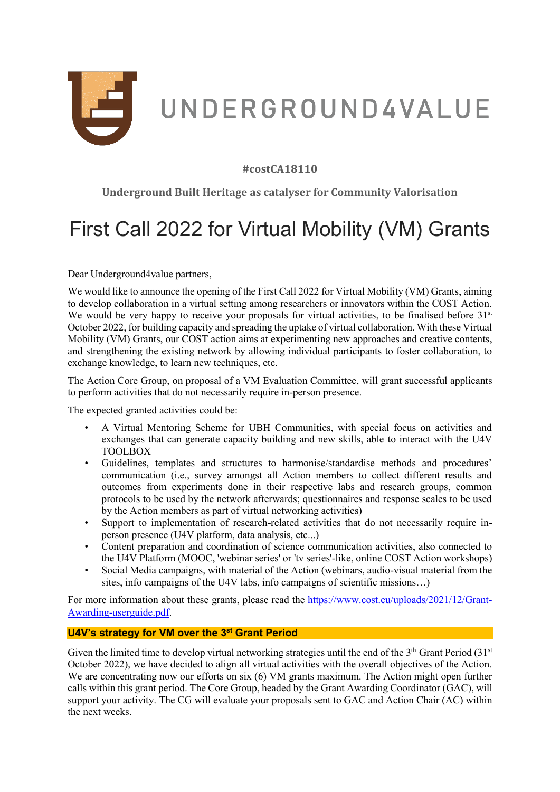

# **#costCA18110**

**Underground Built Heritage as catalyser for Community Valorisation**

# First Call 2022 for Virtual Mobility (VM) Grants

Dear Underground4value partners,

We would like to announce the opening of the First Call 2022 for Virtual Mobility (VM) Grants, aiming to develop collaboration in a virtual setting among researchers or innovators within the COST Action. We would be very happy to receive your proposals for virtual activities, to be finalised before  $31<sup>st</sup>$ October 2022, for building capacity and spreading the uptake of virtual collaboration. With these Virtual Mobility (VM) Grants, our COST action aims at experimenting new approaches and creative contents, and strengthening the existing network by allowing individual participants to foster collaboration, to exchange knowledge, to learn new techniques, etc.

The Action Core Group, on proposal of a VM Evaluation Committee, will grant successful applicants to perform activities that do not necessarily require in-person presence.

The expected granted activities could be:

- A Virtual Mentoring Scheme for UBH Communities, with special focus on activities and exchanges that can generate capacity building and new skills, able to interact with the U4V TOOLBOX
- Guidelines, templates and structures to harmonise/standardise methods and procedures' communication (i.e., survey amongst all Action members to collect different results and outcomes from experiments done in their respective labs and research groups, common protocols to be used by the network afterwards; questionnaires and response scales to be used by the Action members as part of virtual networking activities)
- Support to implementation of research-related activities that do not necessarily require inperson presence (U4V platform, data analysis, etc...)
- Content preparation and coordination of science communication activities, also connected to the U4V Platform (MOOC, 'webinar series' or 'tv series'-like, online COST Action workshops)
- Social Media campaigns, with material of the Action (webinars, audio-visual material from the sites, info campaigns of the U4V labs, info campaigns of scientific missions…)

For more information about these grants, please read the [https://www.cost.eu/uploads/2021/12/Grant-](https://www.cost.eu/uploads/2021/12/Grant-Awarding-userguide.pdf)[Awarding-userguide.pdf.](https://www.cost.eu/uploads/2021/12/Grant-Awarding-userguide.pdf)

## **U4V's strategy for VM over the 3st Grant Period**

Given the limited time to develop virtual networking strategies until the end of the 3<sup>th</sup> Grant Period (31<sup>st</sup>) October 2022), we have decided to align all virtual activities with the overall objectives of the Action. We are concentrating now our efforts on six (6) VM grants maximum. The Action might open further calls within this grant period. The Core Group, headed by the Grant Awarding Coordinator (GAC), will support your activity. The CG will evaluate your proposals sent to GAC and Action Chair (AC) within the next weeks.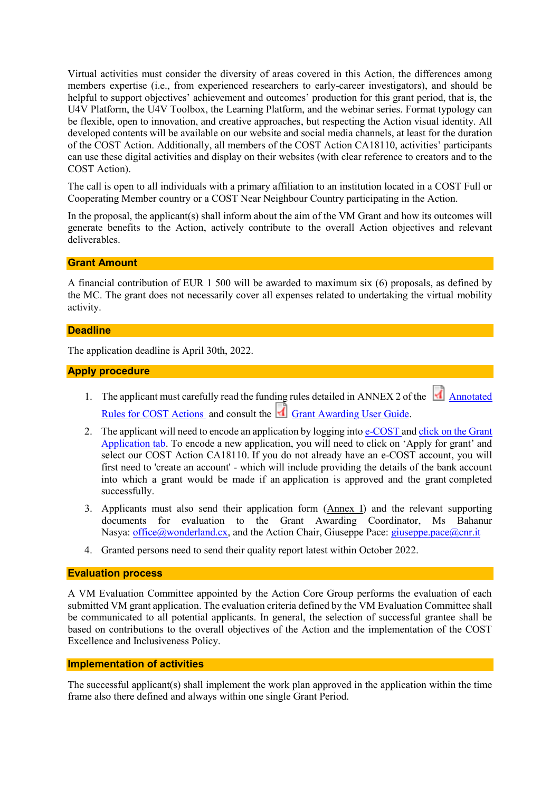Virtual activities must consider the diversity of areas covered in this Action, the differences among members expertise (i.e., from experienced researchers to early-career investigators), and should be helpful to support objectives' achievement and outcomes' production for this grant period, that is, the U4V Platform, the U4V Toolbox, the Learning Platform, and the webinar series. Format typology can be flexible, open to innovation, and creative approaches, but respecting the Action visual identity. All developed contents will be available on our website and social media channels, at least for the duration of the COST Action. Additionally, all members of the COST Action CA18110, activities' participants can use these digital activities and display on their websites (with clear reference to creators and to the COST Action).

The call is open to all individuals with a primary affiliation to an institution located in a COST Full or Cooperating Member country or a COST Near Neighbour Country participating in the Action.

In the proposal, the applicant(s) shall inform about the aim of the VM Grant and how its outcomes will generate benefits to the Action, actively contribute to the overall Action objectives and relevant deliverables.

**Grant Amount**

A financial contribution of EUR 1 500 will be awarded to maximum six (6) proposals, as defined by the MC. The grant does not necessarily cover all expenses related to undertaking the virtual mobility activity.

#### **Deadline**

The application deadline is April 30th, 2022.

#### **Apply procedure**

- 1. The applicant must carefully read the funding rules detailed in ANNEX 2 of the  $\Box$  Annotated [Rules for COST Actions](https://www.cost.eu/uploads/2022/02/COST-094-21-Annotated-Rules-for-COST-Actions-Level-C-2022-02-15.pdf) and consult the [Grant Awarding User Guide.](https://www.cost.eu/uploads/2021/12/Grant-Awarding-userguide.pdf)
- 2. The applicant will need to encode an application by logging into [e-COST a](https://e-services.cost.eu/user/login)nd click on the Grant [Application tab.](https://e-services.cost.eu/activity/grants) To encode a new application, you will need to click on 'Apply for grant' and select our COST Action CA18110. If you do not already have an e-COST account, you will first need to 'create an account' - which will include providing the details of the bank account into which a grant would be made if an application is approved and the grant completed successfully.
- 3. Applicants must also send their application form (Annex I) and the relevant supporting documents for evaluation to the Grant Awarding Coordinator, Ms Bahanur Nasya: [office@wonderland.cx,](mailto:office@wonderland.cx) and the Action Chair, Giuseppe Pace: [giuseppe.pace@cnr.it](mailto:giuseppe.pace@cnr.it)
- 4. Granted persons need to send their quality report latest within October 2022.

#### **Evaluation process**

A VM Evaluation Committee appointed by the Action Core Group performs the evaluation of each submitted VM grant application. The evaluation criteria defined by the VM Evaluation Committee shall be communicated to all potential applicants. In general, the selection of successful grantee shall be based on contributions to the overall objectives of the Action and the implementation of the COST Excellence and Inclusiveness Policy.

## **Implementation of activities**

The successful applicant(s) shall implement the work plan approved in the application within the time frame also there defined and always within one single Grant Period.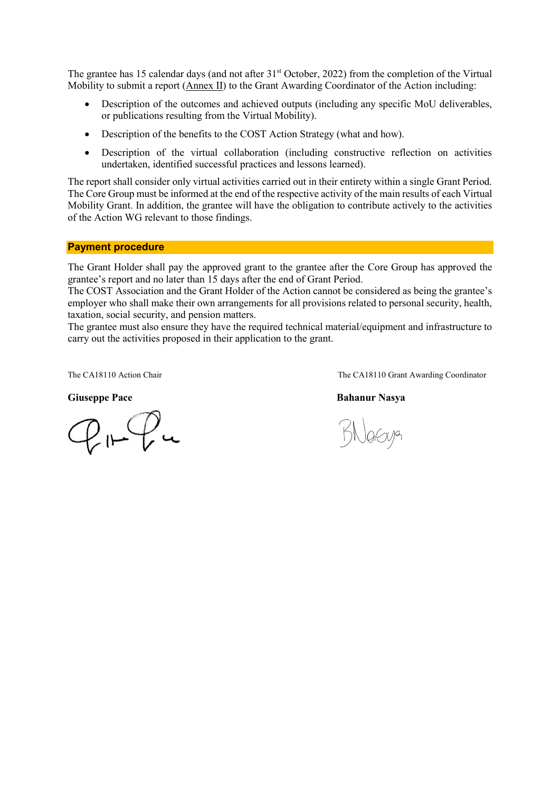The grantee has 15 calendar days (and not after 31<sup>st</sup> October, 2022) from the completion of the Virtual Mobility to submit a report (Annex II) to the Grant Awarding Coordinator of the Action including:

- Description of the outcomes and achieved outputs (including any specific MoU deliverables, or publications resulting from the Virtual Mobility).
- Description of the benefits to the COST Action Strategy (what and how).
- Description of the virtual collaboration (including constructive reflection on activities undertaken, identified successful practices and lessons learned).

The report shall consider only virtual activities carried out in their entirety within a single Grant Period. The Core Group must be informed at the end of the respective activity of the main results of each Virtual Mobility Grant. In addition, the grantee will have the obligation to contribute actively to the activities of the Action WG relevant to those findings.

#### **Payment procedure**

The Grant Holder shall pay the approved grant to the grantee after the Core Group has approved the grantee's report and no later than 15 days after the end of Grant Period.

The COST Association and the Grant Holder of the Action cannot be considered as being the grantee's employer who shall make their own arrangements for all provisions related to personal security, health, taxation, social security, and pension matters.

The grantee must also ensure they have the required technical material/equipment and infrastructure to carry out the activities proposed in their application to the grant.

 $P_{1}$   $P_{2}$   $u$ 

The CA18110 Action Chair The CA18110 Grant Awarding Coordinator

#### **Giuseppe Pace Bahanur Nasya**

Nasug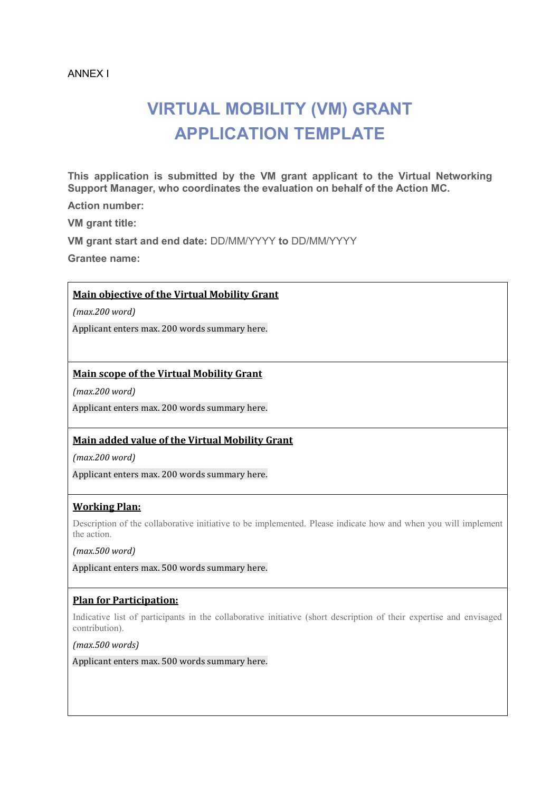#### ANNEX I

# **VIRTUAL MOBILITY (VM) GRANT APPLICATION TEMPLATE**

**This application is submitted by the VM grant applicant to the Virtual Networking Support Manager, who coordinates the evaluation on behalf of the Action MC.**

**Action number:** 

**VM grant title:**

**VM grant start and end date:** DD/MM/YYYY **to** DD/MM/YYYY

**Grantee name:** 

## **Main objective of the Virtual Mobility Grant**

*(max.200 word)* 

Applicant enters max. 200 words summary here.

## **Main scope of the Virtual Mobility Grant**

*(max.200 word)* 

Applicant enters max. 200 words summary here.

#### **Main added value of the Virtual Mobility Grant**

*(max.200 word)* 

Applicant enters max. 200 words summary here.

## **Working Plan:**

Description of the collaborative initiative to be implemented. Please indicate how and when you will implement the action.

*(max.500 word)* 

Applicant enters max. 500 words summary here.

#### **Plan for Participation:**

Indicative list of participants in the collaborative initiative (short description of their expertise and envisaged contribution).

*(max.500 words)* 

Applicant enters max. 500 words summary here.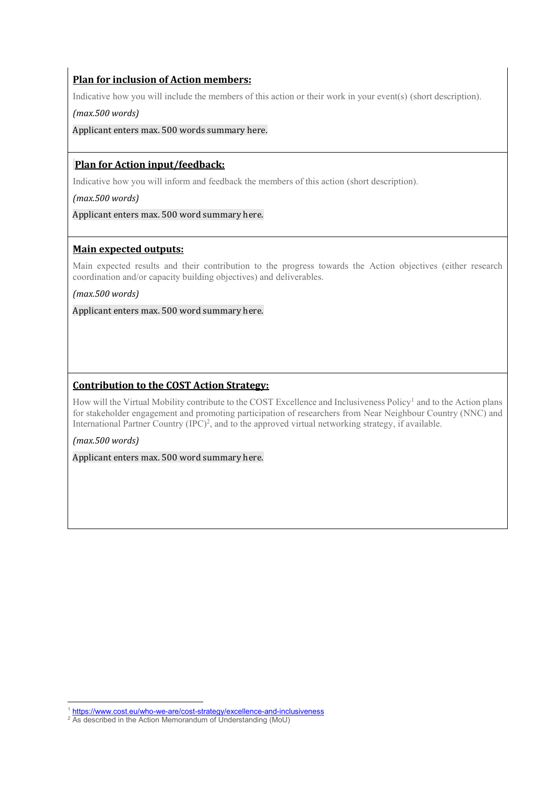# **Plan for inclusion of Action members:**

Indicative how you will include the members of this action or their work in your event(s) (short description).

*(max.500 words)* 

Applicant enters max. 500 words summary here.

# **Plan for Action input/feedback:**

Indicative how you will inform and feedback the members of this action (short description).

*(max.500 words)* 

Applicant enters max. 500 word summary here.

## **Main expected outputs:**

Main expected results and their contribution to the progress towards the Action objectives (either research coordination and/or capacity building objectives) and deliverables.

*(max.500 words)* 

Applicant enters max. 500 word summary here.

# **Contribution to the COST Action Strategy:**

How will the Virtual Mobility contribute to the COST Excellence and Inclusiveness Policy<sup>1</sup> and to the Action plans for stakeholder engagement and promoting participation of researchers from Near Neighbour Country (NNC) and International Partner Country (IPC) 2 , and to the approved virtual networking strategy, if available.

#### *(max.500 words)*

**.** 

Applicant enters max. 500 word summary here.

<sup>&</sup>lt;sup>1</sup> <https://www.cost.eu/who-we-are/cost-strategy/excellence-and-inclusiveness>

<sup>&</sup>lt;sup>2</sup> As described in the Action Memorandum of Understanding (MoU)